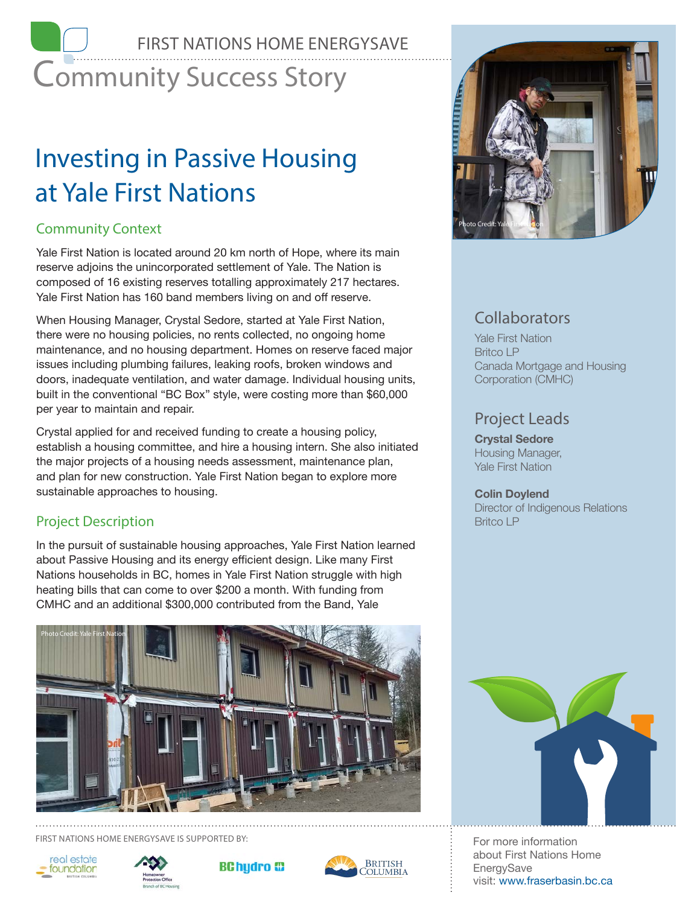# Community Success Story FIRST NATIONS HOME ENERGYSAVE

# Investing in Passive Housing at Yale First Nations

# Community Context

Yale First Nation is located around 20 km north of Hope, where its main reserve adjoins the unincorporated settlement of Yale. The Nation is composed of 16 existing reserves totalling approximately 217 hectares. Yale First Nation has 160 band members living on and off reserve.

When Housing Manager, Crystal Sedore, started at Yale First Nation, there were no housing policies, no rents collected, no ongoing home maintenance, and no housing department. Homes on reserve faced major issues including plumbing failures, leaking roofs, broken windows and doors, inadequate ventilation, and water damage. Individual housing units, built in the conventional "BC Box" style, were costing more than \$60,000 per year to maintain and repair.

Crystal applied for and received funding to create a housing policy, establish a housing committee, and hire a housing intern. She also initiated the major projects of a housing needs assessment, maintenance plan, and plan for new construction. Yale First Nation began to explore more sustainable approaches to housing.

# Project Description

In the pursuit of sustainable housing approaches, Yale First Nation learned about Passive Housing and its energy efficient design. Like many First Nations households in BC, homes in Yale First Nation struggle with high heating bills that can come to over \$200 a month. With funding from CMHC and an additional \$300,000 contributed from the Band, Yale



FIRST NATIONS HOME ENERGYSAVE IS SUPPORTED BY: For more information













# **Collaborators**

Yale First Nation Britco LP Canada Mortgage and Housing Corporation (CMHC)

# Project Leads

**Crystal Sedore** Housing Manager, Yale First Nation

## **Colin Doylend**

Director of Indigenous Relations Britco LP



about First Nations Home EnergySave visit: www.fraserbasin.bc.ca